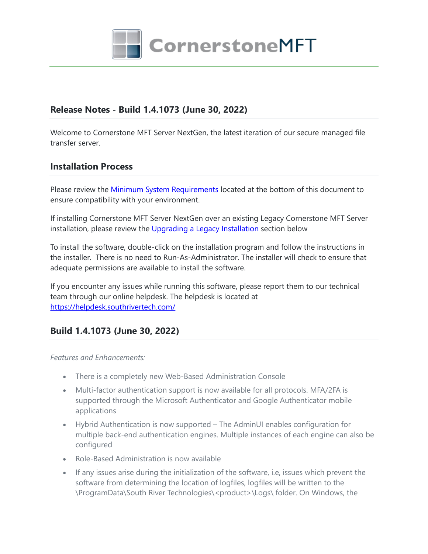

## **Release Notes - Build 1.4.1073 (June 30, 2022)**

Welcome to Cornerstone MFT Server NextGen, the latest iteration of our secure managed file transfer server.

### **Installation Process**

Please review the [Minimum](file:///C:\Srt.NextGen\Setup.Common\titanftp\Resources\en\relnotes.docx#_Minimum_System_Requirements) [System](file:///C:\Srt.NextGen\Setup.Common\titanftp\Resources\en\relnotes.docx#_Minimum_System_Requirements) [Requirements](file:///C:\Srt.NextGen\Setup.Common\titanftp\Resources\en\relnotes.docx#_Minimum_System_Requirements) located at the bottom of this document to ensure compatibility with your environment.

If installing Cornerstone MFT Server NextGen over an existing Legacy Cornerstone MFT Server installation, please review the [Upgrading](file:///C:\Srt.NextGen\Setup.Common\titanftp\Resources\en\relnotes.docx#_UPGRADING_FROM_TITAN) [a](file:///C:\Srt.NextGen\Setup.Common\titanftp\Resources\en\relnotes.docx#_UPGRADING_FROM_TITAN) [Legacy](file:///C:\Srt.NextGen\Setup.Common\titanftp\Resources\en\relnotes.docx#_UPGRADING_FROM_TITAN) [Installation](file:///C:\Srt.NextGen\Setup.Common\titanftp\Resources\en\relnotes.docx#_UPGRADING_FROM_TITAN) section below

To install the software, double-click on the installation program and follow the instructions in the installer. There is no need to Run-As-Administrator. The installer will check to ensure that adequate permissions are available to install the software.

If you encounter any issues while running this software, please report them to our technical team through our online helpdesk. The helpdesk is located at <https://helpdesk.southrivertech.com/>

## **Build 1.4.1073 (June 30, 2022)**

#### *Features and Enhancements:*

- There is a completely new Web-Based Administration Console
- Multi-factor authentication support is now available for all protocols. MFA/2FA is supported through the Microsoft Authenticator and Google Authenticator mobile applications
- Hybrid Authentication is now supported The AdminUI enables configuration for multiple back-end authentication engines. Multiple instances of each engine can also be configured
- Role-Based Administration is now available
- If any issues arise during the initialization of the software, i.e, issues which prevent the software from determining the location of logfiles, logfiles will be written to the \ProgramData\South River Technologies\<product>\Logs\ folder. On Windows, the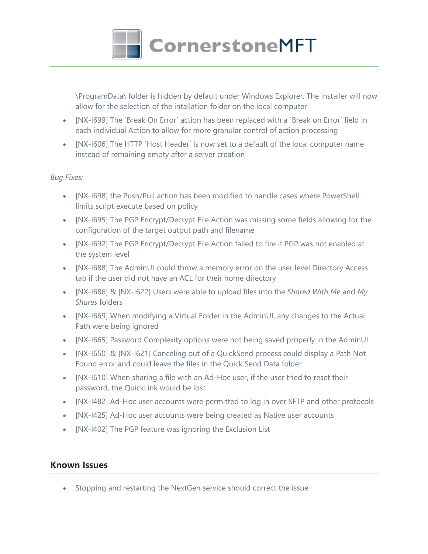

\ProgramData\ folder is hidden by default under Windows Explorer. The installer will now allow for the selection of the intallation folder on the local computer

- [NX-I699] The `Break On Error` action has been replaced with a `Break on Error` field in each individual Action to allow for more granular control of action processing
- [NX-I606] The HTTP `Host Header` is now set to a default of the local computer name instead of remaining empty after a server creation

#### *Bug Fixes:*

- [NX-I698] the Push/Pull action has been modified to handle cases where PowerShell limits script execute based on policy
- [NX-I695] The PGP Encrypt/Decrypt File Action was missing some fields allowing for the configuration of the target output path and filename
- [NX-I692] The PGP Encrypt/Decrypt File Action failed to fire if PGP was not enabled at the system level
- [NX-I688] The AdminUI could throw a memory error on the user level Directory Access tab if the user did not have an ACL for their home directory
- [NX-I686] & [NX-I622] Users were able to upload files into the *Shared With Me* and *My Shares* folders
- [NX-I669] When modifying a Virtual Folder in the AdminUI, any changes to the Actual Path were being ignored
- [NX-I665] Password Complexity options were not being saved properly in the AdminUI
- [NX-I650] & [NX-I621] Canceling out of a QuickSend process could display a Path Not Found error and could leave the files in the Quick Send Data folder
- [NX-I610] When sharing a file with an Ad-Hoc user, if the user tried to reset their password, the QuickLink would be lost
- [NX-I482] Ad-Hoc user accounts were permitted to log in over SFTP and other protocols
- [NX-I425] Ad-Hoc user accounts were being created as Native user accounts
- [NX-I402] The PGP feature was ignoring the Exclusion List

## **Known Issues**

Stopping and restarting the NextGen service should correct the issue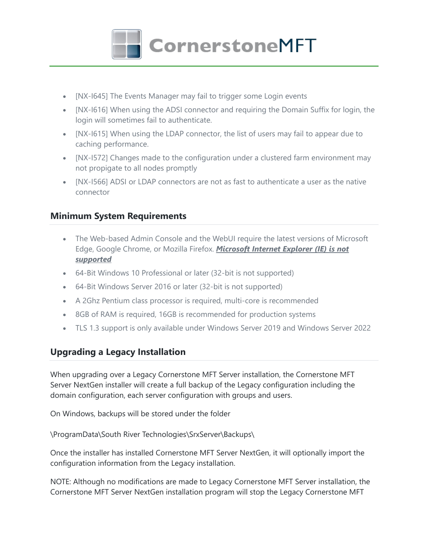

- [NX-I645] The Events Manager may fail to trigger some Login events
- [NX-I616] When using the ADSI connector and requiring the Domain Suffix for login, the login will sometimes fail to authenticate.
- [NX-I615] When using the LDAP connector, the list of users may fail to appear due to caching performance.
- [NX-I572] Changes made to the configuration under a clustered farm environment may not propigate to all nodes promptly
- [NX-I566] ADSI or LDAP connectors are not as fast to authenticate a user as the native connector

## **Minimum System Requirements**

- The Web-based Admin Console and the WebUI require the latest versions of Microsoft Edge, Google Chrome, or Mozilla Firefox. *Microsoft Internet Explorer (IE) is not supported*
- 64-Bit Windows 10 Professional or later (32-bit is not supported)
- 64-Bit Windows Server 2016 or later (32-bit is not supported)
- A 2Ghz Pentium class processor is required, multi-core is recommended
- 8GB of RAM is required, 16GB is recommended for production systems
- TLS 1.3 support is only available under Windows Server 2019 and Windows Server 2022

# **Upgrading a Legacy Installation**

When upgrading over a Legacy Cornerstone MFT Server installation, the Cornerstone MFT Server NextGen installer will create a full backup of the Legacy configuration including the domain configuration, each server configuration with groups and users.

On Windows, backups will be stored under the folder

\ProgramData\South River Technologies\SrxServer\Backups\

Once the installer has installed Cornerstone MFT Server NextGen, it will optionally import the configuration information from the Legacy installation.

NOTE: Although no modifications are made to Legacy Cornerstone MFT Server installation, the Cornerstone MFT Server NextGen installation program will stop the Legacy Cornerstone MFT